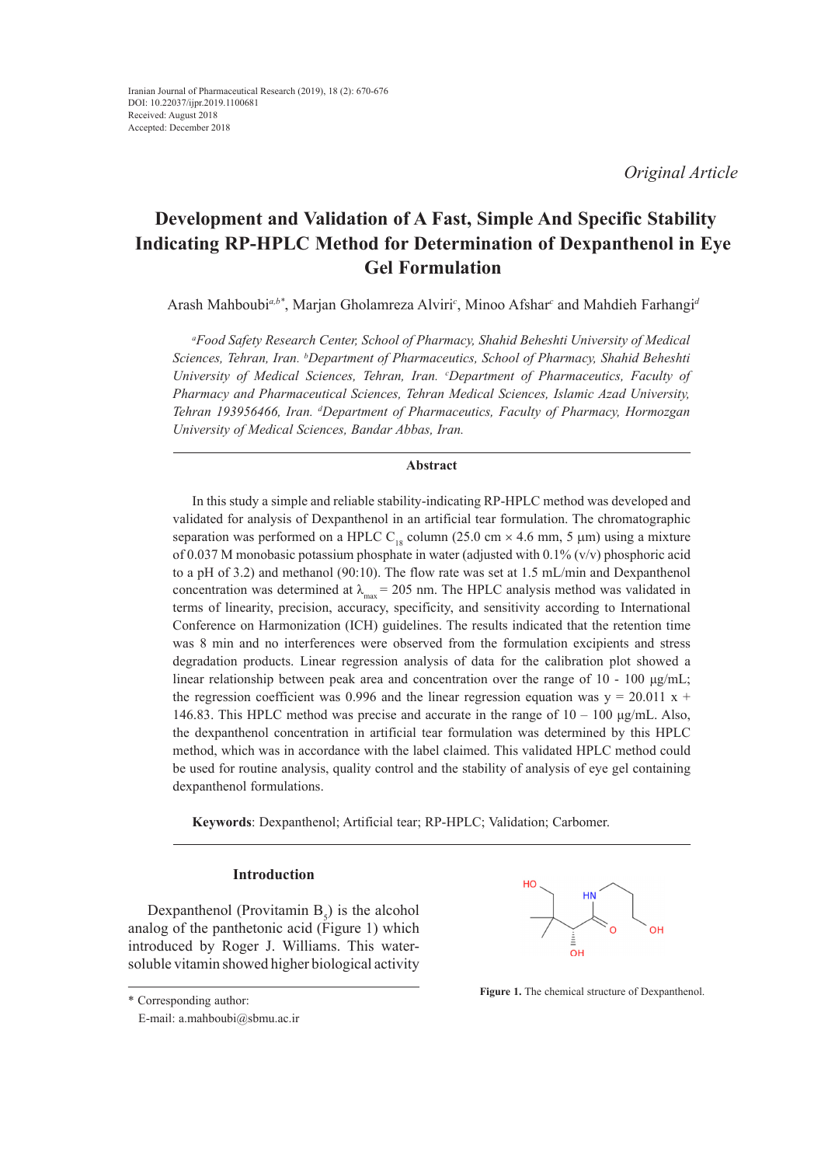*Original Article*

# **Development and Validation of A Fast, Simple And Specific Stability Indicating RP-HPLC Method for Determination of Dexpanthenol in Eye Gel Formulation**

Arash Mahboubi*a,b\**, Marjan Gholamreza Alviri*<sup>c</sup>* , Minoo Afshar*<sup>c</sup>* and Mahdieh Farhangi*<sup>d</sup>*

*a Food Safety Research Center, School of Pharmacy, Shahid Beheshti University of Medical Sciences, Tehran, Iran. b Department of Pharmaceutics, School of Pharmacy, Shahid Beheshti University of Medical Sciences, Tehran, Iran. c Department of Pharmaceutics, Faculty of Pharmacy and Pharmaceutical Sciences, Tehran Medical Sciences, Islamic Azad University, Tehran 193956466, Iran. d Department of Pharmaceutics, Faculty of Pharmacy, Hormozgan University of Medical Sciences, Bandar Abbas, Iran.*

## **Abstract**

In this study a simple and reliable stability-indicating RP-HPLC method was developed and validated for analysis of Dexpanthenol in an artificial tear formulation. The chromatographic separation was performed on a HPLC C<sub>18</sub> column (25.0 cm  $\times$  4.6 mm, 5 µm) using a mixture of 0.037 M monobasic potassium phosphate in water (adjusted with 0.1% (v/v) phosphoric acid to a pH of 3.2) and methanol (90:10). The flow rate was set at 1.5 mL/min and Dexpanthenol concentration was determined at  $\lambda_{\text{max}} = 205$  nm. The HPLC analysis method was validated in terms of linearity, precision, accuracy, specificity, and sensitivity according to International Conference on Harmonization (ICH) guidelines. The results indicated that the retention time was 8 min and no interferences were observed from the formulation excipients and stress degradation products. Linear regression analysis of data for the calibration plot showed a linear relationship between peak area and concentration over the range of 10 - 100 μg/mL; the regression coefficient was 0.996 and the linear regression equation was  $y = 20.011 x +$ 146.83. This HPLC method was precise and accurate in the range of  $10 - 100 \text{ µg/mL}$ . Also, the dexpanthenol concentration in artificial tear formulation was determined by this HPLC method, which was in accordance with the label claimed. This validated HPLC method could be used for routine analysis, quality control and the stability of analysis of eye gel containing dexpanthenol formulations.

Keywords: Dexpanthenol; Artificial tear; RP-HPLC; Validation; Carbomer.

# **Introduction**

Dexpanthenol (Provitamin  $B_5$ ) is the alcohol analog of the panthetonic acid (Figure 1) which introduced by Roger J. Williams. This watersoluble vitamin showed higher biological activity



**Figure 1.** The chemical structure of Dexpanthenol.

E-mail: a.mahboubi@sbmu.ac.ir

<sup>\*</sup> Corresponding author: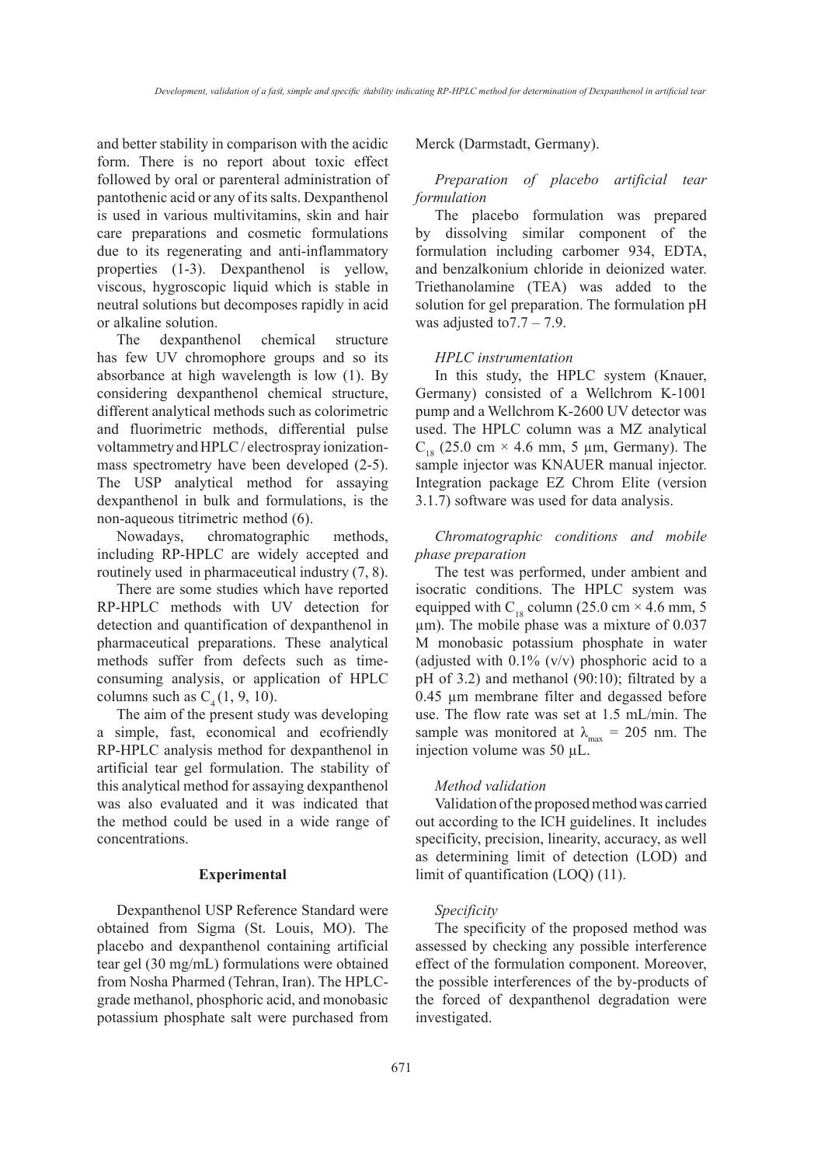and better stability in comparison with the acidic form. There is no report about toxic effect followed by oral or parenteral administration of pantothenic acid or any of its salts. Dexpanthenol is used in various multivitamins, skin and hair care preparations and cosmetic formulations due to its regenerating and anti-inflammatory properties (1-3). Dexpanthenol is yellow, viscous, hygroscopic liquid which is stable in neutral solutions but decomposes rapidly in acid or alkaline solution.

The dexpanthenol chemical structure has few UV chromophore groups and so its absorbance at high wavelength is low (1). By considering dexpanthenol chemical structure, different analytical methods such as colorimetric and fluorimetric methods, differential pulse voltammetry and HPLC / electrospray ionizationmass spectrometry have been developed (2-5). The USP analytical method for assaying dexpanthenol in bulk and formulations, is the non-aqueous titrimetric method (6).

Nowadays, chromatographic methods, including RP-HPLC are widely accepted and routinely used in pharmaceutical industry (7, 8).

There are some studies which have reported RP-HPLC methods with UV detection for detection and quantification of dexpanthenol in pharmaceutical preparations. These analytical methods suffer from defects such as timeconsuming analysis, or application of HPLC columns such as  $C_4(1, 9, 10)$ .

The aim of the present study was developing a simple, fast, economical and ecofriendly RP-HPLC analysis method for dexpanthenol in artificial tear gel formulation. The stability of this analytical method for assaying dexpanthenol was also evaluated and it was indicated that the method could be used in a wide range of concentrations.

# **Experimental**

Dexpanthenol USP Reference Standard were obtained from Sigma (St. Louis, MO). The placebo and dexpanthenol containing artificial tear gel (30 mg/mL) formulations were obtained from Nosha Pharmed (Tehran, Iran). The HPLCgrade methanol, phosphoric acid, and monobasic potassium phosphate salt were purchased from Merck (Darmstadt, Germany).

# *Preparation of placebo artificial tear formulation*

The placebo formulation was prepared by dissolving similar component of the formulation including carbomer 934, EDTA, and benzalkonium chloride in deionized water. Triethanolamine (TEA) was added to the solution for gel preparation. The formulation pH was adjusted to  $7.7 - 7.9$ .

#### *HPLC instrumentation*

In this study, the HPLC system (Knauer, Germany) consisted of a Wellchrom K-1001 pump and a Wellchrom K-2600 UV detector was used. The HPLC column was a MZ analytical  $C_{18}$  (25.0 cm  $\times$  4.6 mm, 5 µm, Germany). The sample injector was KNAUER manual injector. Integration package EZ Chrom Elite (version 3.1.7) software was used for data analysis.

# *Chromatographic conditions and mobile phase preparation*

The test was performed, under ambient and isocratic conditions. The HPLC system was equipped with  $C_{18}$  column (25.0 cm  $\times$  4.6 mm, 5 µm). The mobile phase was a mixture of 0.037 M monobasic potassium phosphate in water (adjusted with 0.1% (v/v) phosphoric acid to a pH of 3.2) and methanol (90:10); filtrated by a 0.45 µm membrane filter and degassed before use. The flow rate was set at 1.5 mL/min. The sample was monitored at  $\lambda_{\text{max}} = 205$  nm. The injection volume was 50 µL.

#### *Method validation*

Validation of the proposed method was carried out according to the ICH guidelines. It includes specificity, precision, linearity, accuracy, as well as determining limit of detection (LOD) and limit of quantification (LOQ) (11).

### *Specificity*

The specificity of the proposed method was assessed by checking any possible interference effect of the formulation component. Moreover, the possible interferences of the by-products of the forced of dexpanthenol degradation were investigated.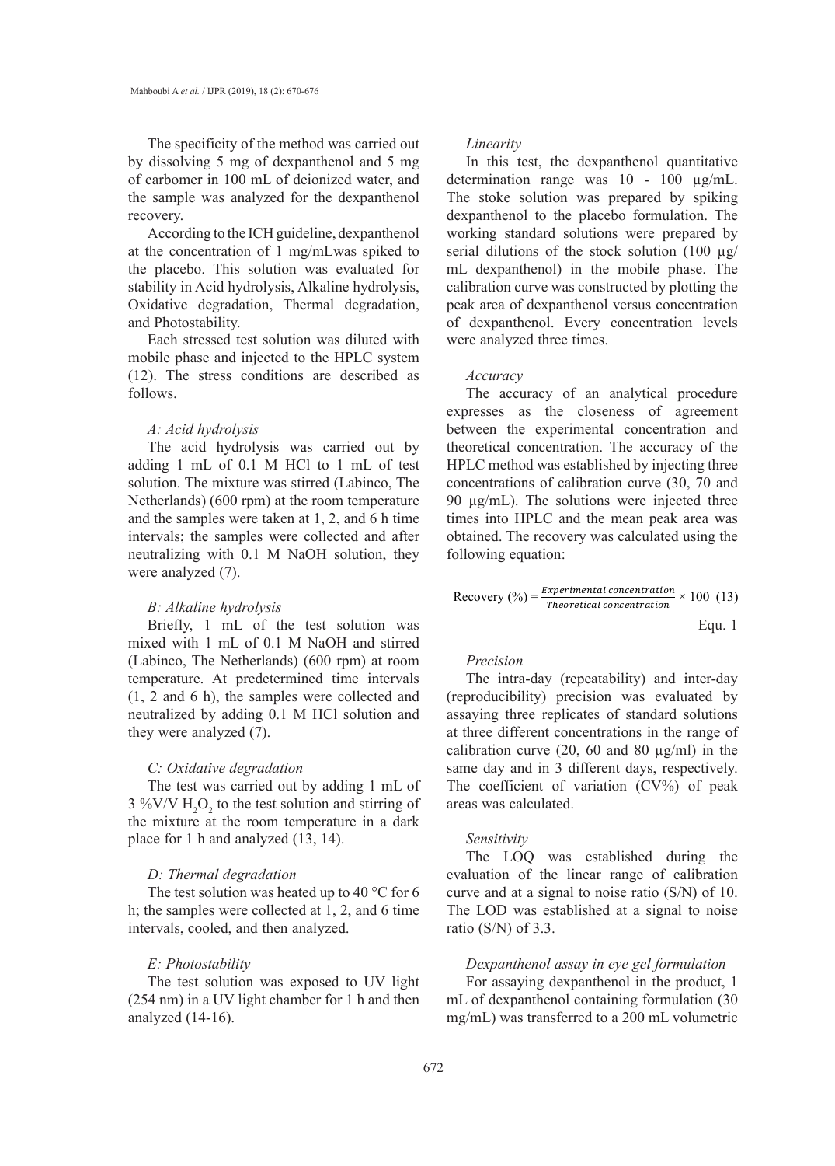The specificity of the method was carried out by dissolving 5 mg of dexpanthenol and 5 mg of carbomer in 100 mL of deionized water, and the sample was analyzed for the dexpanthenol recovery.

According to the ICH guideline, dexpanthenol at the concentration of 1 mg/mLwas spiked to the placebo. This solution was evaluated for stability in Acid hydrolysis, Alkaline hydrolysis, Oxidative degradation, Thermal degradation, and Photostability.

Each stressed test solution was diluted with mobile phase and injected to the HPLC system (12). The stress conditions are described as follows.

#### *A: Acid hydrolysis*

The acid hydrolysis was carried out by adding 1 mL of 0.1 M HCl to 1 mL of test solution. The mixture was stirred (Labinco, The Netherlands) (600 rpm) at the room temperature and the samples were taken at 1, 2, and 6 h time intervals; the samples were collected and after neutralizing with 0.1 M NaOH solution, they were analyzed (7).

# *B: Alkaline hydrolysis*

Briefly, 1 mL of the test solution was mixed with 1 mL of 0.1 M NaOH and stirred (Labinco, The Netherlands) (600 rpm) at room temperature. At predetermined time intervals (1, 2 and 6 h), the samples were collected and neutralized by adding 0.1 M HCl solution and they were analyzed (7).

# *C: Oxidative degradation*

The test was carried out by adding 1 mL of  $3\%$ V/V  $H_2O_2$  to the test solution and stirring of the mixture at the room temperature in a dark place for 1 h and analyzed (13, 14).

# *D: Thermal degradation*

The test solution was heated up to 40  $\degree$ C for 6 h; the samples were collected at 1, 2, and 6 time intervals, cooled, and then analyzed.

# *E: Photostability*

The test solution was exposed to UV light (254 nm) in a UV light chamber for 1 h and then analyzed (14-16).

#### *Linearity*

In this test, the dexpanthenol quantitative determination range was 10 - 100 µg/mL. The stoke solution was prepared by spiking dexpanthenol to the placebo formulation. The working standard solutions were prepared by serial dilutions of the stock solution (100  $\mu$ g/ mL dexpanthenol) in the mobile phase. The calibration curve was constructed by plotting the peak area of dexpanthenol versus concentration of dexpanthenol. Every concentration levels were analyzed three times.

#### *Accuracy*

The accuracy of an analytical procedure expresses as the closeness of agreement between the experimental concentration and theoretical concentration. The accuracy of the HPLC method was established by injecting three concentrations of calibration curve (30, 70 and  $\frac{90 \text{ }\mu\text{g/mL}}{mL}$ . The solutions were injected three times into HPLC and the mean peak area was obtained. The recovery was calculated using the following equation:

$$
Recovery (%) = \frac{Experimental\ concentration}{Theoretical\ concentration} \times 100\ (13)
$$

Equ. 1

# *Precision*

The intra-day (repeatability) and inter-day (reproducibility) precision was evaluated by assaying three replicates of standard solutions at three different concentrations in the range of calibration curve (20, 60 and 80  $\mu$ g/ml) in the same day and in 3 different days, respectively. The coefficient of variation  $(CV%)$  of peak areas was calculated.

### *Sensitivity*

The LOQ was established during the evaluation of the linear range of calibration curve and at a signal to noise ratio (S/N) of 10. The LOD was established at a signal to noise ratio (S/N) of 3.3.

# Dexpanthenol assay in eye gel formulation

For assaying dexpanthenol in the product, 1 mL of dexpanthenol containing formulation (30 mg/mL) was transferred to a 200 mL volumetric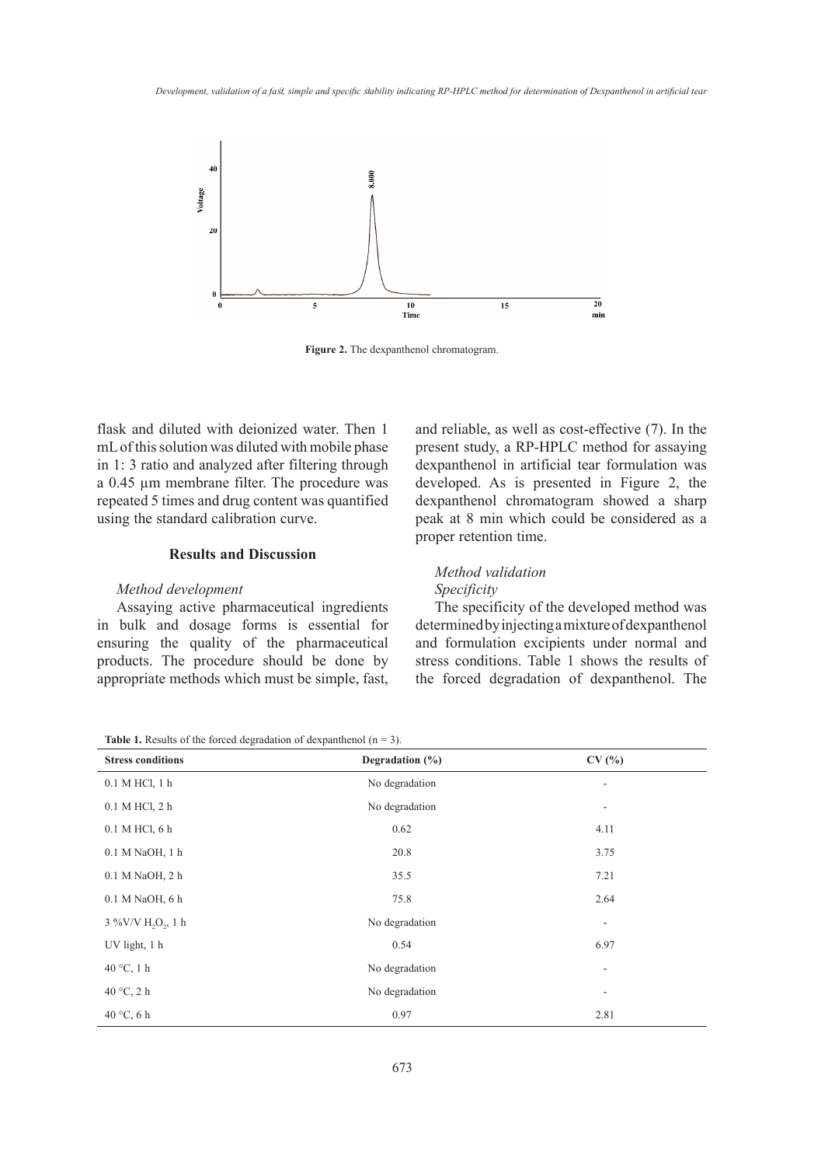

**Figure 2.** The dexpanthenol chromatogram.

flask and diluted with deionized water. Then 1 mL of this solution was diluted with mobile phase in 1: 3 ratio and analyzed after filtering through a 0.45 µm membrane filter. The procedure was repeated 5 times and drug content was quantified using the standard calibration curve.

# **Results and Discussion excipients under normal and stress conditions. The results of the results of the results of the results of the results of the results of the results of the results of the results of the results of t**

### *Method development*

Assaying active pharmaceutical ingredients The specificity of the develo in bulk and dosage forms is essential for determined by injecting amixture ensuring the quality of the pharmaceutical and formulation excipients un products. The procedure should be done by appropriate methods which must be simple, fast,

and reliable, as well as cost-effective (7). In the present study, a RP-HPLC method for assaying dexpanthenol in artificial tear formulation was developed. As is presented in Figure 2, the dexpanthenol chromatogram showed a sharp dard calibration curve.  $\qquad \qquad$  peak at 8 min which could be considered as a proper retention time.

# *Method validation Specificity*

The specificity of the developed method was determined by injecting a mixture of dexpanthenol and formulation excipients under normal and stress conditions. Table 1 shows the results of the forced degradation of dexpanthenol. The

|  | <b>Table 1.</b> Results of the forced degradation of dexpanthenol $(n = 3)$ . |  |  |  |
|--|-------------------------------------------------------------------------------|--|--|--|
|--|-------------------------------------------------------------------------------|--|--|--|

| <b>Stress conditions</b>                   | Degradation $(\%)$ | CV(%)          |
|--------------------------------------------|--------------------|----------------|
| 0.1 M HCl, 1 h                             | No degradation     | ۰              |
| 0.1 M HCl, 2 h                             | No degradation     | ٠              |
| 0.1 M HCl, 6 h                             | 0.62               | 4.11           |
| 0.1 M NaOH, 1 h                            | 20.8               | 3.75           |
| 0.1 M NaOH, 2 h                            | 35.5               | 7.21           |
| 0.1 M NaOH, 6 h                            | 75.8               | 2.64           |
| 3 %V/V H <sub>2</sub> O <sub>2</sub> , 1 h | No degradation     | $\overline{a}$ |
| UV light, 1 h                              | 0.54               | 6.97           |
| 40 $\degree$ C, 1 h                        | No degradation     | ۰              |
| 40 $\degree$ C, 2 h                        | No degradation     | ۰              |
| 40 °C, 6 h                                 | 0.97               | 2.81           |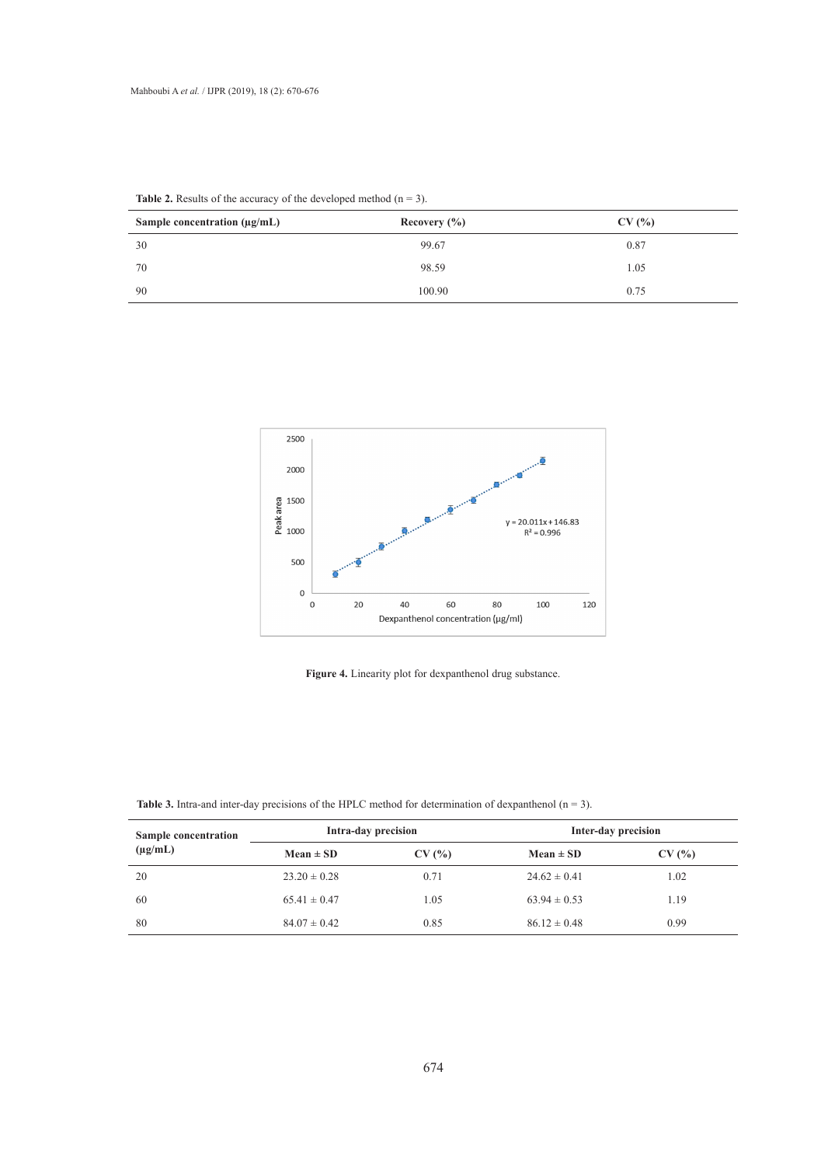| Sample concentration $(\mu g/mL)$ | Recovery $(\% )$ | CV(%) |
|-----------------------------------|------------------|-------|
| 30                                | 99.67            | 0.87  |
| 70                                | 98.59            | 1.05  |
| 90                                | 100.90           | 0.75  |

**Table 2.** Results of the accuracy of the developed method  $(n = 3)$ .





**Table 3.** Intra-and inter-day precisions of the HPLC method for determination of dexpanthenol  $(n = 3)$ .

| Sample concentration | Intra-day precision |       |                  | Inter-day precision |  |
|----------------------|---------------------|-------|------------------|---------------------|--|
| $(\mu g/mL)$         | $Mean \pm SD$       | CV(%) | $Mean \pm SD$    | CV(%)               |  |
| 20                   | $23.20 \pm 0.28$    | 0.71  | $24.62 \pm 0.41$ | 1.02                |  |
| 60                   | $65.41 \pm 0.47$    | 1.05  | $63.94 \pm 0.53$ | 1.19                |  |
| 80                   | $84.07 \pm 0.42$    | 0.85  | $86.12 \pm 0.48$ | 0.99                |  |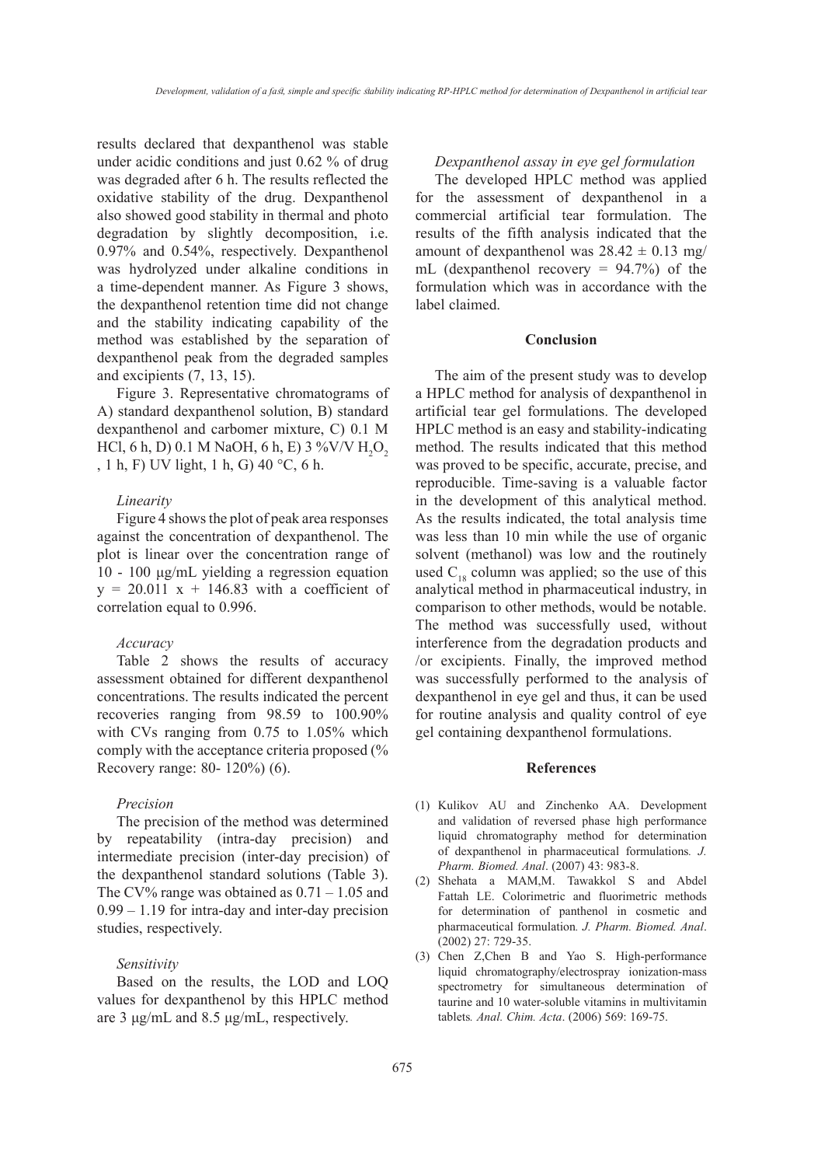results declared that dexpanthenol was stable under acidic conditions and just 0.62 % of drug was degraded after 6 h. The results reflected the oxidative stability of the drug. Dexpanthenol also showed good stability in thermal and photo degradation by slightly decomposition, i.e. 0.97% and 0.54%, respectively. Dexpanthenol was hydrolyzed under alkaline conditions in a time-dependent manner. As Figure 3 shows, the dexpanthenol retention time did not change and the stability indicating capability of the method was established by the separation of dexpanthenol peak from the degraded samples and excipients (7, 13, 15).

Figure 3. Representative chromatograms of A) standard dexpanthenol solution, B) standard dexpanthenol and carbomer mixture, C) 0.1 M HCl, 6 h, D) 0.1 M NaOH, 6 h, E) 3 %V/V  $\rm{H_2O}_2$ , 1 h, F) UV light, 1 h, G) 40 °C, 6 h.

# *Linearity*

Figure 4 shows the plot of peak area responses against the concentration of dexpanthenol. The plot is linear over the concentration range of 10 - 100 μg/mL yielding a regression equation  $y = 20.011$  x + 146.83 with a coefficient of correlation equal to 0.996.

#### *Accuracy*

Table 2 shows the results of accuracy assessment obtained for different dexpanthenol concentrations. The results indicated the percent recoveries ranging from 98.59 to 100.90% with CVs ranging from 0.75 to 1.05% which comply with the acceptance criteria proposed (% Recovery range: 80- 120%) (6).

### *Precision*

The precision of the method was determined by repeatability (intra-day precision) and intermediate precision (inter-day precision) of the dexpanthenol standard solutions (Table 3). The CV% range was obtained as  $0.71 - 1.05$  and 0.99 – 1.19 for intra-day and inter-day precision studies, respectively.

#### *Sensitivity*

Based on the results, the LOD and LOQ values for dexpanthenol by this HPLC method are 3 μg/mL and 8.5 μg/mL, respectively.

# *Dexpanthenol assay in eye gel formulation*

The developed HPLC method was applied for the assessment of dexpanthenol in a commercial artificial tear formulation. The results of the fifth analysis indicated that the amount of dexpanthenol was  $28.42 \pm 0.13$  mg/ mL (dexpanthenol recovery = 94.7%) of the formulation which was in accordance with the label claimed.

#### **Conclusion**

The aim of the present study was to develop a HPLC method for analysis of dexpanthenol in artificial tear gel formulations. The developed HPLC method is an easy and stability-indicating method. The results indicated that this method was proved to be specific, accurate, precise, and reproducible. Time-saving is a valuable factor in the development of this analytical method. As the results indicated, the total analysis time was less than 10 min while the use of organic solvent (methanol) was low and the routinely used  $C_{18}$  column was applied; so the use of this analytical method in pharmaceutical industry, in comparison to other methods, would be notable. The method was successfully used, without interference from the degradation products and /or excipients. Finally, the improved method was successfully performed to the analysis of dexpanthenol in eye gel and thus, it can be used for routine analysis and quality control of eye gel containing dexpanthenol formulations.

#### **References**

- (1) Kulikov AU and Zinchenko AA. Development and validation of reversed phase high performance liquid chromatography method for determination of dexpanthenol in pharmaceutical formulations*. J. Pharm. Biomed. Anal*. (2007) 43: 983-8.
- (2) Shehata a MAM,M. Tawakkol S and Abdel Fattah LE. Colorimetric and fluorimetric methods for determination of panthenol in cosmetic and pharmaceutical formulation*. J. Pharm. Biomed. Anal*. (2002) 27: 729-35.
- Chen Z,Chen B and Yao S. High-performance (3)liquid chromatography/electrospray ionization-mass spectrometry for simultaneous determination of taurine and 10 water-soluble vitamins in multivitamin tablets*. Anal. Chim. Acta*. (2006) 569: 169-75.